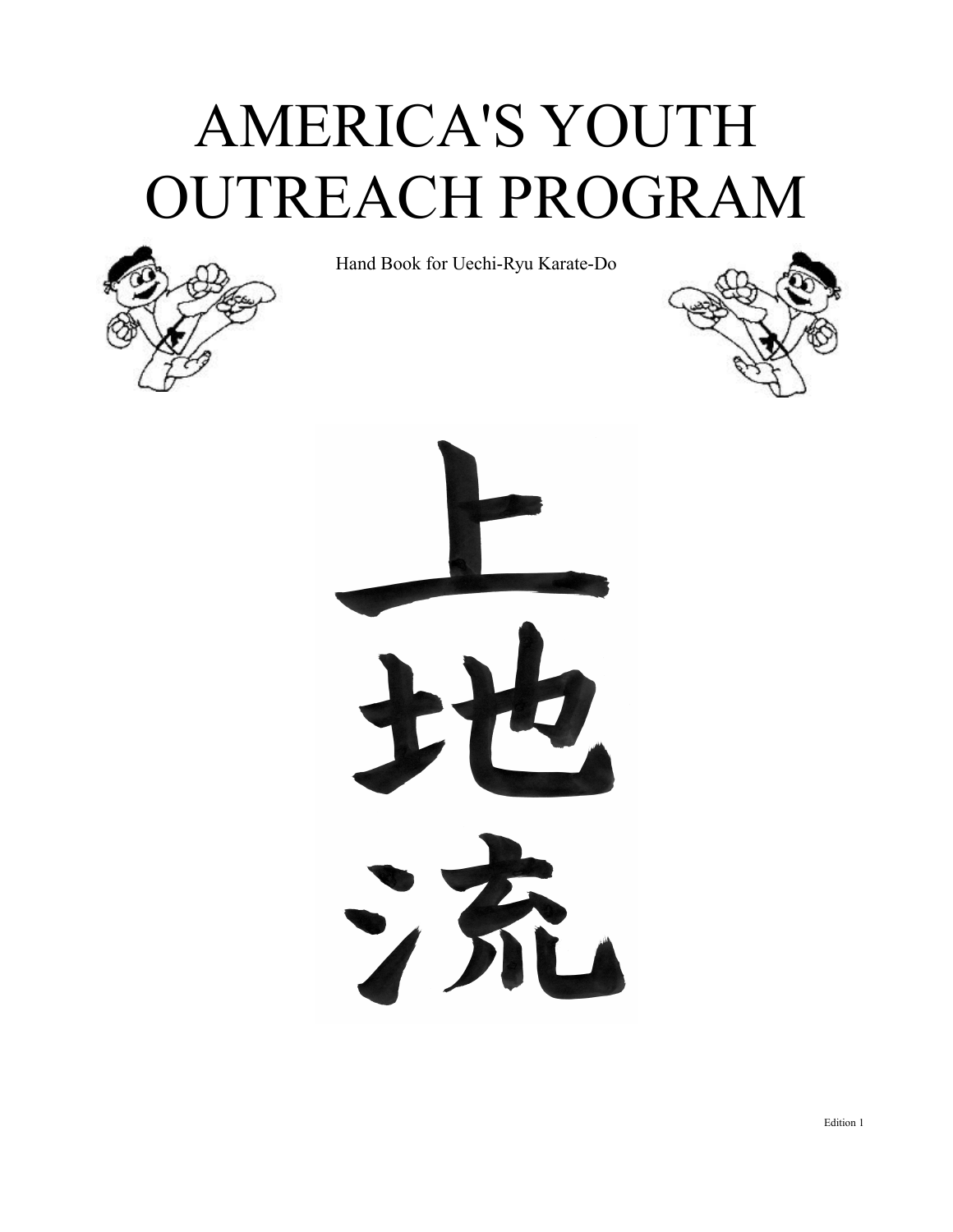# AMERICA'S YOUTH OUTREACH PROGRAM



Hand Book for Uechi-Ryu Karate-Do